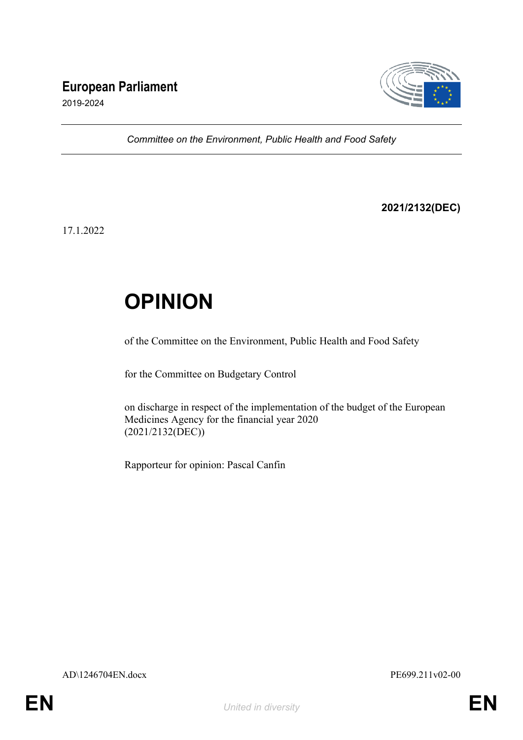## **European Parliament**



2019-2024

*Committee on the Environment, Public Health and Food Safety*

**2021/2132(DEC)**

17.1.2022

# **OPINION**

of the Committee on the Environment, Public Health and Food Safety

for the Committee on Budgetary Control

on discharge in respect of the implementation of the budget of the European Medicines Agency for the financial year 2020 (2021/2132(DEC))

Rapporteur for opinion: Pascal Canfin

AD\1246704EN.docx PE699.211v02-00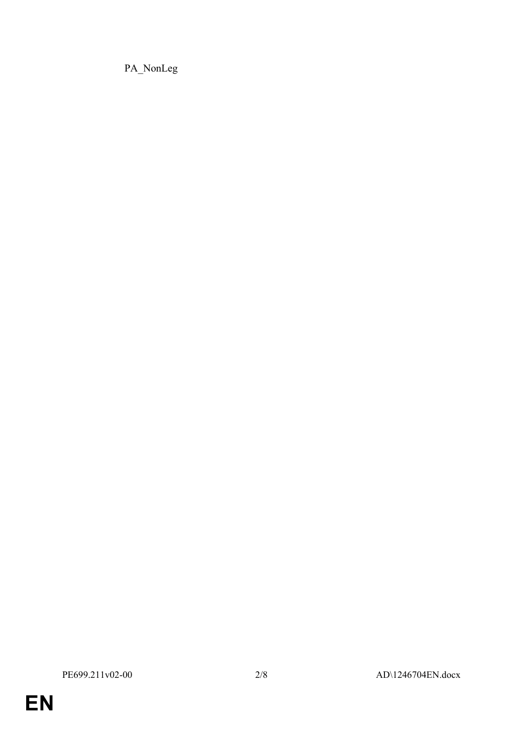PA\_NonLeg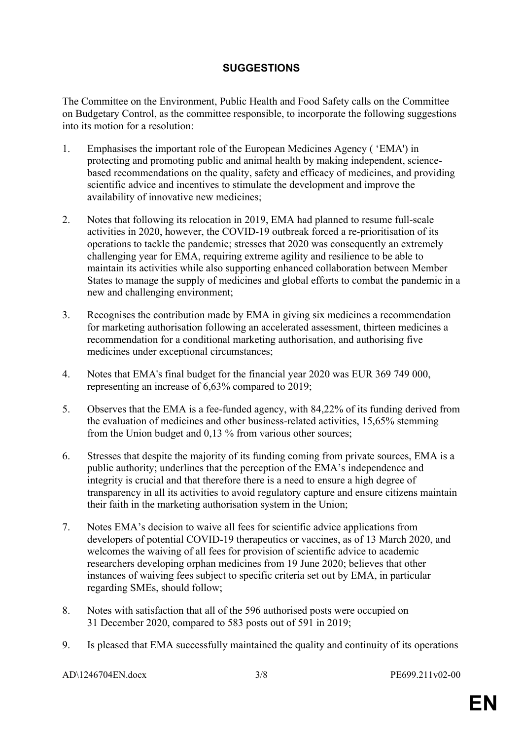### **SUGGESTIONS**

The Committee on the Environment, Public Health and Food Safety calls on the Committee on Budgetary Control, as the committee responsible, to incorporate the following suggestions into its motion for a resolution:

- 1. Emphasises the important role of the European Medicines Agency ( 'EMA') in protecting and promoting public and animal health by making independent, sciencebased recommendations on the quality, safety and efficacy of medicines, and providing scientific advice and incentives to stimulate the development and improve the availability of innovative new medicines;
- 2. Notes that following its relocation in 2019, EMA had planned to resume full-scale activities in 2020, however, the COVID-19 outbreak forced a re-prioritisation of its operations to tackle the pandemic; stresses that 2020 was consequently an extremely challenging year for EMA, requiring extreme agility and resilience to be able to maintain its activities while also supporting enhanced collaboration between Member States to manage the supply of medicines and global efforts to combat the pandemic in a new and challenging environment;
- 3. Recognises the contribution made by EMA in giving six medicines a recommendation for marketing authorisation following an accelerated assessment, thirteen medicines a recommendation for a conditional marketing authorisation, and authorising five medicines under exceptional circumstances;
- 4. Notes that EMA's final budget for the financial year 2020 was EUR 369 749 000, representing an increase of 6,63% compared to 2019;
- 5. Observes that the EMA is a fee-funded agency, with 84,22% of its funding derived from the evaluation of medicines and other business-related activities, 15,65% stemming from the Union budget and 0,13 % from various other sources;
- 6. Stresses that despite the majority of its funding coming from private sources, EMA is a public authority; underlines that the perception of the EMA's independence and integrity is crucial and that therefore there is a need to ensure a high degree of transparency in all its activities to avoid regulatory capture and ensure citizens maintain their faith in the marketing authorisation system in the Union;
- 7. Notes EMA's decision to waive all fees for scientific advice applications from developers of potential COVID-19 therapeutics or vaccines, as of 13 March 2020, and welcomes the waiving of all fees for provision of scientific advice to academic researchers developing orphan medicines from 19 June 2020; believes that other instances of waiving fees subject to specific criteria set out by EMA, in particular regarding SMEs, should follow;
- 8. Notes with satisfaction that all of the 596 authorised posts were occupied on 31 December 2020, compared to 583 posts out of 591 in 2019;
- 9. Is pleased that EMA successfully maintained the quality and continuity of its operations

AD\1246704EN.docx 3/8 PE699.211v02-00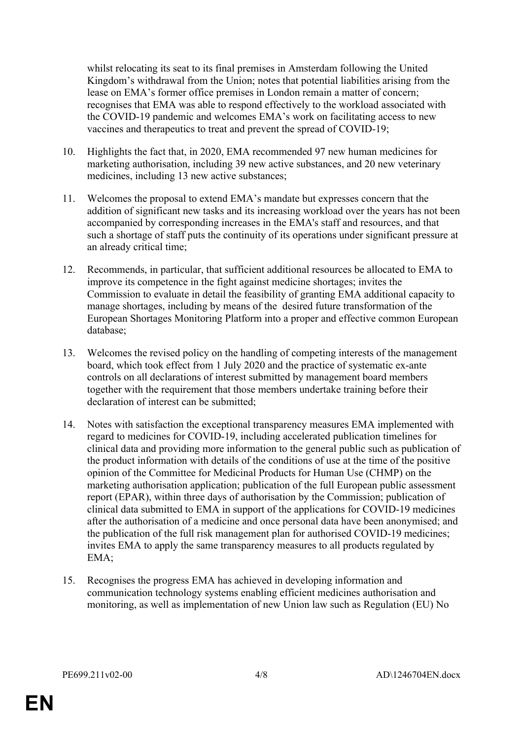whilst relocating its seat to its final premises in Amsterdam following the United Kingdom's withdrawal from the Union; notes that potential liabilities arising from the lease on EMA's former office premises in London remain a matter of concern; recognises that EMA was able to respond effectively to the workload associated with the COVID-19 pandemic and welcomes EMA's work on facilitating access to new vaccines and therapeutics to treat and prevent the spread of COVID-19;

- 10. Highlights the fact that, in 2020, EMA recommended 97 new human medicines for marketing authorisation, including 39 new active substances, and 20 new veterinary medicines, including 13 new active substances;
- 11. Welcomes the proposal to extend EMA's mandate but expresses concern that the addition of significant new tasks and its increasing workload over the years has not been accompanied by corresponding increases in the EMA's staff and resources, and that such a shortage of staff puts the continuity of its operations under significant pressure at an already critical time;
- 12. Recommends, in particular, that sufficient additional resources be allocated to EMA to improve its competence in the fight against medicine shortages; invites the Commission to evaluate in detail the feasibility of granting EMA additional capacity to manage shortages, including by means of the desired future transformation of the European Shortages Monitoring Platform into a proper and effective common European database;
- 13. Welcomes the revised policy on the handling of competing interests of the management board, which took effect from 1 July 2020 and the practice of systematic ex-ante controls on all declarations of interest submitted by management board members together with the requirement that those members undertake training before their declaration of interest can be submitted;
- 14. Notes with satisfaction the exceptional transparency measures EMA implemented with regard to medicines for COVID-19, including accelerated publication timelines for clinical data and providing more information to the general public such as publication of the product information with details of the conditions of use at the time of the positive opinion of the Committee for Medicinal Products for Human Use (CHMP) on the marketing authorisation application; publication of the full European public assessment report (EPAR), within three days of authorisation by the Commission; publication of clinical data submitted to EMA in support of the applications for COVID-19 medicines after the authorisation of a medicine and once personal data have been anonymised; and the publication of the full risk management plan for authorised COVID-19 medicines; invites EMA to apply the same transparency measures to all products regulated by EMA;
- 15. Recognises the progress EMA has achieved in developing information and communication technology systems enabling efficient medicines authorisation and monitoring, as well as implementation of new Union law such as Regulation (EU) No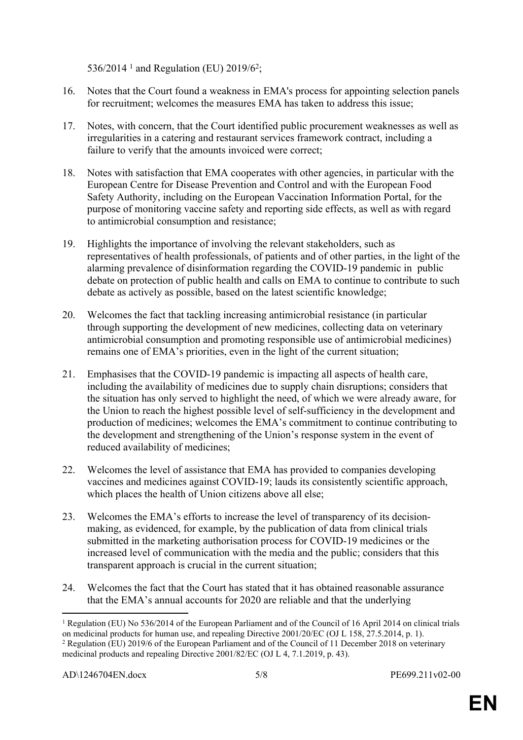536/2014<sup>1</sup> and Regulation (EU) 2019/6<sup>2</sup>;

- 16. Notes that the Court found a weakness in EMA's process for appointing selection panels for recruitment; welcomes the measures EMA has taken to address this issue;
- 17. Notes, with concern, that the Court identified public procurement weaknesses as well as irregularities in a catering and restaurant services framework contract, including a failure to verify that the amounts invoiced were correct;
- 18. Notes with satisfaction that EMA cooperates with other agencies, in particular with the European Centre for Disease Prevention and Control and with the European Food Safety Authority, including on the European Vaccination Information Portal, for the purpose of monitoring vaccine safety and reporting side effects, as well as with regard to antimicrobial consumption and resistance;
- 19. Highlights the importance of involving the relevant stakeholders, such as representatives of health professionals, of patients and of other parties, in the light of the alarming prevalence of disinformation regarding the COVID-19 pandemic in public debate on protection of public health and calls on EMA to continue to contribute to such debate as actively as possible, based on the latest scientific knowledge;
- 20. Welcomes the fact that tackling increasing antimicrobial resistance (in particular through supporting the development of new medicines, collecting data on veterinary antimicrobial consumption and promoting responsible use of antimicrobial medicines) remains one of EMA's priorities, even in the light of the current situation;
- 21. Emphasises that the COVID-19 pandemic is impacting all aspects of health care, including the availability of medicines due to supply chain disruptions; considers that the situation has only served to highlight the need, of which we were already aware, for the Union to reach the highest possible level of self-sufficiency in the development and production of medicines; welcomes the EMA's commitment to continue contributing to the development and strengthening of the Union's response system in the event of reduced availability of medicines;
- 22. Welcomes the level of assistance that EMA has provided to companies developing vaccines and medicines against COVID-19; lauds its consistently scientific approach, which places the health of Union citizens above all else;
- 23. Welcomes the EMA's efforts to increase the level of transparency of its decisionmaking, as evidenced, for example, by the publication of data from clinical trials submitted in the marketing authorisation process for COVID-19 medicines or the increased level of communication with the media and the public; considers that this transparent approach is crucial in the current situation;
- 24. Welcomes the fact that the Court has stated that it has obtained reasonable assurance that the EMA's annual accounts for 2020 are reliable and that the underlying

<sup>1</sup> Regulation (EU) No 536/2014 of the European Parliament and of the Council of 16 April 2014 on clinical trials on medicinal products for human use, and repealing Directive 2001/20/EC (OJ L 158, 27.5.2014, p. 1). <sup>2</sup> Regulation (EU) 2019/6 of the European Parliament and of the Council of 11 December 2018 on veterinary medicinal products and repealing Directive 2001/82/EC (OJ L 4, 7.1.2019, p. 43).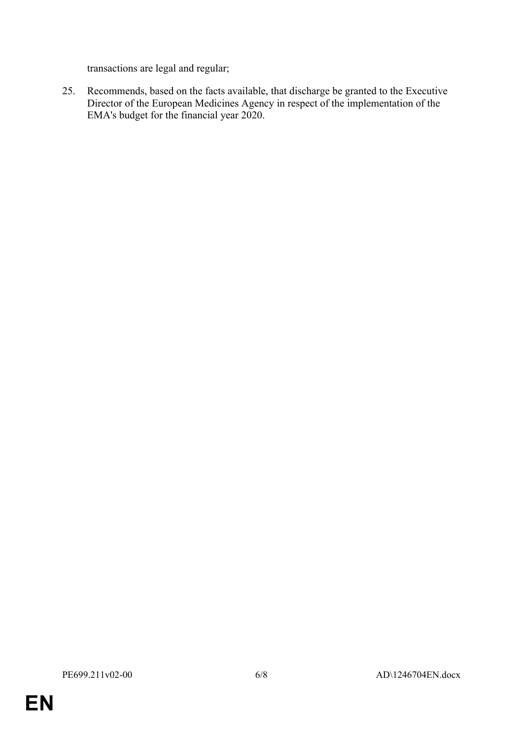transactions are legal and regular;

25. Recommends, based on the facts available, that discharge be granted to the Executive Director of the European Medicines Agency in respect of the implementation of the EMA's budget for the financial year 2020.

**EN**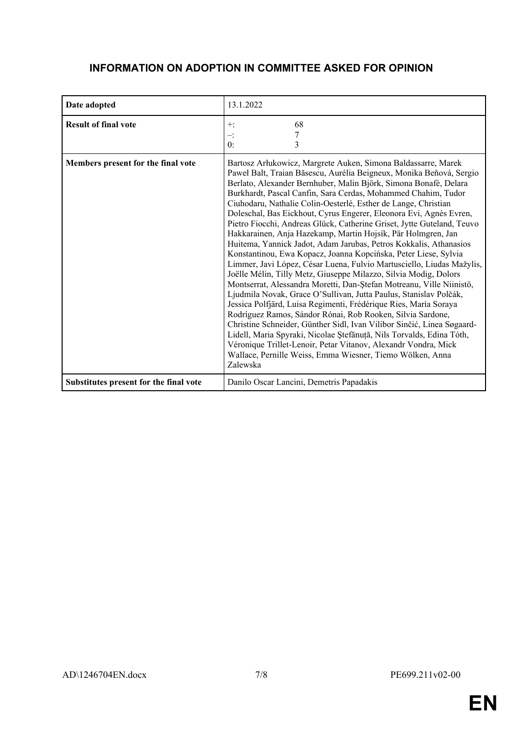### **INFORMATION ON ADOPTION IN COMMITTEE ASKED FOR OPINION**

| Date adopted                           | 13.1.2022                                                                                                                                                                                                                                                                                                                                                                                                                                                                                                                                                                                                                                                                                                                                                                                                                                                                                                                                                                                                                                                                                                                                                                                                                                                                                                                                                                                                                    |
|----------------------------------------|------------------------------------------------------------------------------------------------------------------------------------------------------------------------------------------------------------------------------------------------------------------------------------------------------------------------------------------------------------------------------------------------------------------------------------------------------------------------------------------------------------------------------------------------------------------------------------------------------------------------------------------------------------------------------------------------------------------------------------------------------------------------------------------------------------------------------------------------------------------------------------------------------------------------------------------------------------------------------------------------------------------------------------------------------------------------------------------------------------------------------------------------------------------------------------------------------------------------------------------------------------------------------------------------------------------------------------------------------------------------------------------------------------------------------|
| <b>Result of final vote</b>            | 68<br>$+$ :<br>$-$ :<br>0:<br>3                                                                                                                                                                                                                                                                                                                                                                                                                                                                                                                                                                                                                                                                                                                                                                                                                                                                                                                                                                                                                                                                                                                                                                                                                                                                                                                                                                                              |
| Members present for the final vote     | Bartosz Arłukowicz, Margrete Auken, Simona Baldassarre, Marek<br>Paweł Balt, Traian Băsescu, Aurélia Beigneux, Monika Beňová, Sergio<br>Berlato, Alexander Bernhuber, Malin Björk, Simona Bonafè, Delara<br>Burkhardt, Pascal Canfin, Sara Cerdas, Mohammed Chahim, Tudor<br>Ciuhodaru, Nathalie Colin-Oesterlé, Esther de Lange, Christian<br>Doleschal, Bas Eickhout, Cyrus Engerer, Eleonora Evi, Agnès Evren,<br>Pietro Fiocchi, Andreas Glück, Catherine Griset, Jytte Guteland, Teuvo<br>Hakkarainen, Anja Hazekamp, Martin Hojsík, Pär Holmgren, Jan<br>Huitema, Yannick Jadot, Adam Jarubas, Petros Kokkalis, Athanasios<br>Konstantinou, Ewa Kopacz, Joanna Kopcińska, Peter Liese, Sylvia<br>Limmer, Javi López, César Luena, Fulvio Martusciello, Liudas Mažylis,<br>Joëlle Mélin, Tilly Metz, Giuseppe Milazzo, Silvia Modig, Dolors<br>Montserrat, Alessandra Moretti, Dan-Ștefan Motreanu, Ville Niinistö,<br>Ljudmila Novak, Grace O'Sullivan, Jutta Paulus, Stanislav Polčák,<br>Jessica Polfjärd, Luisa Regimenti, Frédérique Ries, María Soraya<br>Rodríguez Ramos, Sándor Rónai, Rob Rooken, Silvia Sardone,<br>Christine Schneider, Günther Sidl, Ivan Vilibor Sinčić, Linea Søgaard-<br>Lidell, Maria Spyraki, Nicolae Ștefănuță, Nils Torvalds, Edina Tóth,<br>Véronique Trillet-Lenoir, Petar Vitanov, Alexandr Vondra, Mick<br>Wallace, Pernille Weiss, Emma Wiesner, Tiemo Wölken, Anna<br>Zalewska |
| Substitutes present for the final vote | Danilo Oscar Lancini, Demetris Papadakis                                                                                                                                                                                                                                                                                                                                                                                                                                                                                                                                                                                                                                                                                                                                                                                                                                                                                                                                                                                                                                                                                                                                                                                                                                                                                                                                                                                     |

**EN**